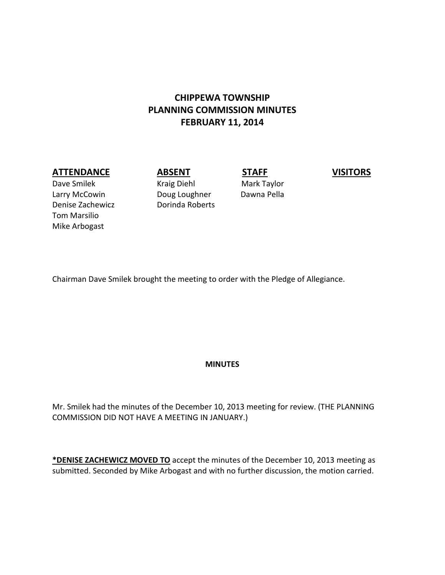# **CHIPPEWA TOWNSHIP PLANNING COMMISSION MINUTES FEBRUARY 11, 2014**

#### **ATTENDANCE ABSENT STAFF VISITORS**

Dave Smilek Kraig Diehl Mark Taylor Larry McCowin **Doug Loughner** Dawna Pella Denise Zachewicz **Dorinda Roberts** Tom Marsilio Mike Arbogast

Chairman Dave Smilek brought the meeting to order with the Pledge of Allegiance.

#### **MINUTES**

Mr. Smilek had the minutes of the December 10, 2013 meeting for review. (THE PLANNING COMMISSION DID NOT HAVE A MEETING IN JANUARY.)

**\*DENISE ZACHEWICZ MOVED TO** accept the minutes of the December 10, 2013 meeting as submitted. Seconded by Mike Arbogast and with no further discussion, the motion carried.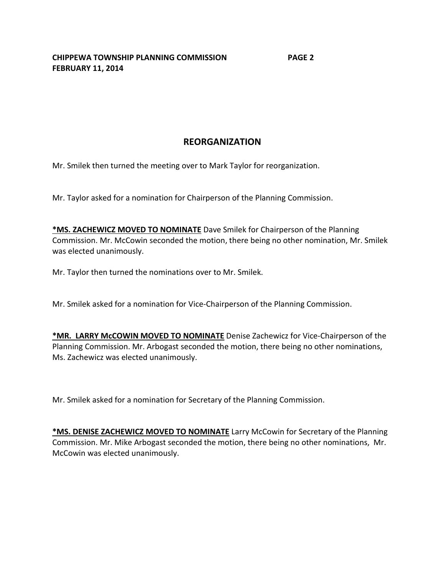**CHIPPEWA TOWNSHIP PLANNING COMMISSION PAGE 2 FEBRUARY 11, 2014**

### **REORGANIZATION**

Mr. Smilek then turned the meeting over to Mark Taylor for reorganization.

Mr. Taylor asked for a nomination for Chairperson of the Planning Commission.

**\*MS. ZACHEWICZ MOVED TO NOMINATE** Dave Smilek for Chairperson of the Planning Commission. Mr. McCowin seconded the motion, there being no other nomination, Mr. Smilek was elected unanimously.

Mr. Taylor then turned the nominations over to Mr. Smilek.

Mr. Smilek asked for a nomination for Vice-Chairperson of the Planning Commission.

**\*MR. LARRY McCOWIN MOVED TO NOMINATE** Denise Zachewicz for Vice-Chairperson of the Planning Commission. Mr. Arbogast seconded the motion, there being no other nominations, Ms. Zachewicz was elected unanimously.

Mr. Smilek asked for a nomination for Secretary of the Planning Commission.

**\*MS. DENISE ZACHEWICZ MOVED TO NOMINATE** Larry McCowin for Secretary of the Planning Commission. Mr. Mike Arbogast seconded the motion, there being no other nominations, Mr. McCowin was elected unanimously.